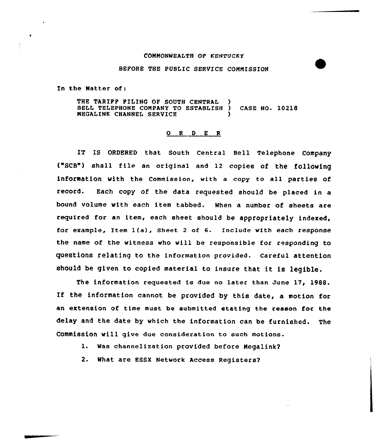## COMMONWEALTH OP KENTUCKY

## BEFORE THE PUBLIC SERVICE COMMISSION

In the Matter of:

THE TARIPF FILING OF SOUTH CENTRAL BELL TELEPHQNE coMPANy To EsTABLIsH ) cAsE No. 10218 **MEGALINK CHANNEL SERVICE** 

## O R D E R

IT IS ORDERED that South Central Bell Telephone Company ("SCS") shall file an original and <sup>12</sup> copies of the following information with the Commission, with a copy to all parties of record. Each copy of the data requested should be placed in a bound volume with each item tabbed. When a number of sheets are required for an item, each sheet should be appropriately indexed, for example, Item 1(a), Sheet <sup>2</sup> of 6. Include with each response the name of the witness who will be responsible for responding to questions relating to the information provided. careful attention should be given to copied material to insure that it is 1egible.

The information requested is due no later than June 17, 1988. If the information cannot be provided by this date, <sup>a</sup> motion for an extension of time must be submitted stating the reason for the delay and the date by which the information can be furnished. The Commission will give due consideration to such motions.

1. Was channelization provided before Megalink2

2. What are ESSX Network Access Registers2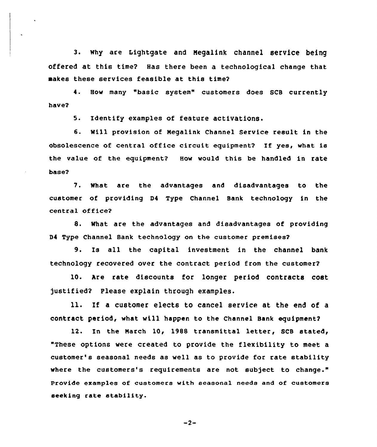3. Why are Lightgate and Megalink channel service being offered at this time? Has there been a technological change that makes these services feasible at this time2

have2 4. How many "basic system" customers does SCB currently

5. Identify examples of feature activations.

6. Will provision of Negalink Channel Service result in the obsolescence of central office circuit equipment? If yes, what is the value of the equipment? How would this be handled in rate base2

7. What are the advantages and disadvantages to the customer of providing D4 Type Channel Bank technology in the central office?

8. What are the advantages and disadvantages of providing 94 Type Channel Bank technology on the customer premises2

9. Is all the capital investment in the channel bank technology recovered over the contract period from the customer2

10. Are rate discounts for longer period contracts cost justified? Please explain through examples.

ll. If <sup>a</sup> customer elects to cancel service at the end of <sup>a</sup> contract period, what will happen to the Channel Bank equipment?

12. In the March 10, 1988 transmittal letter, SCB stated, "These options were created to provide the flexibility to meet a customer's seasonal needs as well as to provide for rate stability where the customers's requirements are not subject to change." Provide examples of customers with seasona1 needs and of customers seeking rate stability.

 $-2-$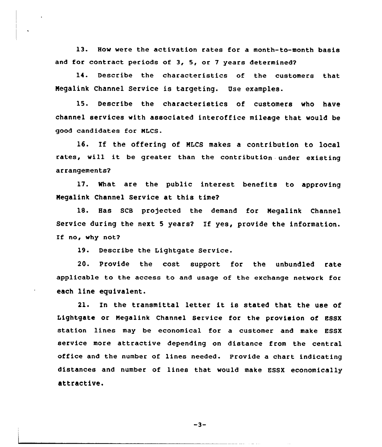13. How were the activation rates for a month-to-month basis and for contract periods of 3, 5, or 7 years determined?

14. Desceibe the characteristics of the customers that Megalink Channel Service is targeting. Use examples.

15. Describe the characteristics of customers who have channel services with associated interoffice mileage that would be good candidates foe MLCS.

16. If the offering of MLCS makes <sup>a</sup> contribution to local rates, will it be greater than the contribution under existing arrangements?

17. What are the public interest benefits to approving Negalink Channel Service at this time2

18. Has SCB projected the demand for Megalink Channel Service during the next <sup>5</sup> years2 If yes, provide the information. If no, why not?

19. Describe the Lightgate Service.

20. Provide the cost support for the unbundled rate applicable to the access to and usage of the exchange network foe each line equivalent.

21. In the transmittal letter it is stated that the use of Lightgate or Megalink Channel Service for the provision of 88SX station lines may be economical for a customer and make ESSX service more attractive depending on distance from the central office and the number of lines needed. Provide a chart indicating distances and number of lines that would make ESSX economically attractive.

 $-3-$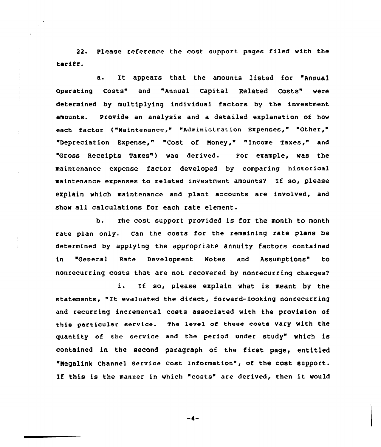22. Please reference the cost support pages filed with the tariff.

a. It appears that the amounts listed for "Annual Operating Costs" and "Annual Capital Related Costs" were determined by multiplying individual factors by the investment amounts. Provide an analysis and a detailed explanation of how each factor ("Maintenance," "Administration Expenses," "Other/" "Depreciation Expense," "Cost of Money," "Income Taxes," and "Gross Receipts Taxes") was derived. For example, was the maintenance expense factor developed by comparing historical maintenance expenses to related investment amounts2 If so, please explain which maintenance and plant accounts are involved, and show all calculations for each rate element.

b. The cost support provided is for the month to month rate plan only. Can the costs for the remaining rate plans be determined by applying the appropriate annuity factors contained in "General Rate Development Notes and Assumptions" to nonrecurring costs that are not recovered by nonrecurring charges2

i. If so, please explain what is meant by the statements, "It evaluated the direct, forward-looking nonrecurring and recurring incremental costs associated with the provision of this particular service. The level of theae costs vary with the quantity of the service and the period under Study" WhiCh iS contained in the second paragraph of the first page, entitled "Negalink Channel service cost Information", of the cost support. If this is the manner in which "costs" are derived, then it would

-4-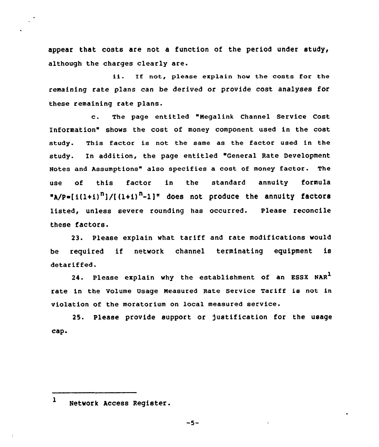appear that costs are not a function of the period under study, although the charges clearly are.

ii. If not, please explain how the costs for the remaining rate plans can be derived or provide cost analyses for these remaining rate plans.

c. The page entitled "Megalink Channel Service Cost Information" shows the cost of money component used in the cost study. This factor is not the same as the factor used in the study. En addition, the page entitled "General Rate Development Notes and Assumptions" also specifies a cost of money factor. The use of this factor in the standard an<mark>nuity formul</mark>  $N_{A}/P = [i(1+i)^{n}] / [(1+i)^{n}-1]$ " does not produce the annuity factors listed, unless severe rounding has occurred. Please reconcile these factors.

23. Please explain what tariff and rate modifications would be required if network channel terminating equipment is detariffed.

24. Please explain why the establishment of an ESSX NAR<sup>1</sup> rate in the Volume Usage Measured Rate Service Tariff is not in violation of the moratorium on local measured service.

25. Please provide support or )ustification for the usage cap.

 $\mathbf{1}$ Network Access Register.

 $-5-$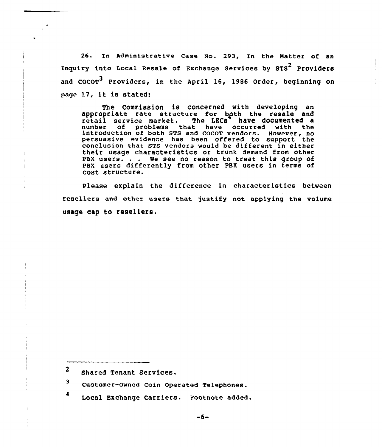25. In Administrative Case No. 293, In the Natter of an Inquiry into Local Resale of Exchange Services by STS<sup>2</sup> Providers and COCOT<sup>3</sup> Providers, in the April 16, 1986 Order, beginning on page 17, it is stated:

The Commission is concerned with developing an appropriate rate structure for bgth the resale and retail service market. The LECS have documented <sup>a</sup> number of problems that have occurred with the introduction of both STS and COCOT vendors. However, no persuasive evidence has been offered to support the conclusion that STS vendors would be different in either their usage characteristics or trunk demand from other PBX users. . . We see no reason to treat this group of PBX users differently from other PBX users in terms of cost structure.

Please eXplain the difference in characteristics between resellers and other users that justify not applying the volume usage cap to resellers.

- <sup>3</sup> Customer-Owned Coin Operated Telephones.
- <sup>4</sup> Local Exchange Carriers. Footnote added.

 $\overline{2}$ Shared Tenant Services.